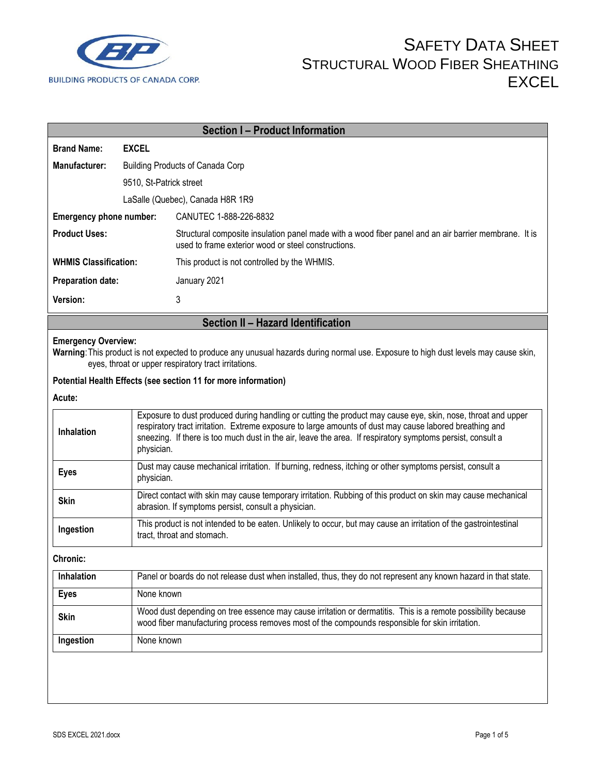

|                              |                                                                                                                                                                                                                 | <b>Section I - Product Information</b>                                                                                                                                                                                                                                                                                                              |  |  |
|------------------------------|-----------------------------------------------------------------------------------------------------------------------------------------------------------------------------------------------------------------|-----------------------------------------------------------------------------------------------------------------------------------------------------------------------------------------------------------------------------------------------------------------------------------------------------------------------------------------------------|--|--|
| <b>Brand Name:</b>           | <b>EXCEL</b>                                                                                                                                                                                                    |                                                                                                                                                                                                                                                                                                                                                     |  |  |
| Manufacturer:                |                                                                                                                                                                                                                 | <b>Building Products of Canada Corp</b>                                                                                                                                                                                                                                                                                                             |  |  |
|                              | 9510, St-Patrick street                                                                                                                                                                                         |                                                                                                                                                                                                                                                                                                                                                     |  |  |
|                              | LaSalle (Quebec), Canada H8R 1R9                                                                                                                                                                                |                                                                                                                                                                                                                                                                                                                                                     |  |  |
| Emergency phone number:      |                                                                                                                                                                                                                 | CANUTEC 1-888-226-8832                                                                                                                                                                                                                                                                                                                              |  |  |
| <b>Product Uses:</b>         |                                                                                                                                                                                                                 | Structural composite insulation panel made with a wood fiber panel and an air barrier membrane. It is<br>used to frame exterior wood or steel constructions.                                                                                                                                                                                        |  |  |
| <b>WHMIS Classification:</b> |                                                                                                                                                                                                                 | This product is not controlled by the WHMIS.                                                                                                                                                                                                                                                                                                        |  |  |
| <b>Preparation date:</b>     |                                                                                                                                                                                                                 | January 2021                                                                                                                                                                                                                                                                                                                                        |  |  |
| Version:                     |                                                                                                                                                                                                                 | 3                                                                                                                                                                                                                                                                                                                                                   |  |  |
|                              |                                                                                                                                                                                                                 | Section II - Hazard Identification                                                                                                                                                                                                                                                                                                                  |  |  |
| <b>Emergency Overview:</b>   |                                                                                                                                                                                                                 | Warning: This product is not expected to produce any unusual hazards during normal use. Exposure to high dust levels may cause skin,<br>eyes, throat or upper respiratory tract irritations.                                                                                                                                                        |  |  |
|                              |                                                                                                                                                                                                                 | Potential Health Effects (see section 11 for more information)                                                                                                                                                                                                                                                                                      |  |  |
| Acute:                       |                                                                                                                                                                                                                 |                                                                                                                                                                                                                                                                                                                                                     |  |  |
| Inhalation                   |                                                                                                                                                                                                                 | Exposure to dust produced during handling or cutting the product may cause eye, skin, nose, throat and upper<br>respiratory tract irritation. Extreme exposure to large amounts of dust may cause labored breathing and<br>sneezing. If there is too much dust in the air, leave the area. If respiratory symptoms persist, consult a<br>physician. |  |  |
| <b>Eyes</b>                  |                                                                                                                                                                                                                 | Dust may cause mechanical irritation. If burning, redness, itching or other symptoms persist, consult a<br>physician.                                                                                                                                                                                                                               |  |  |
| <b>Skin</b>                  |                                                                                                                                                                                                                 | Direct contact with skin may cause temporary irritation. Rubbing of this product on skin may cause mechanical<br>abrasion. If symptoms persist, consult a physician.                                                                                                                                                                                |  |  |
| Ingestion                    |                                                                                                                                                                                                                 | This product is not intended to be eaten. Unlikely to occur, but may cause an irritation of the gastrointestinal<br>tract, throat and stomach.                                                                                                                                                                                                      |  |  |
| Chronic:                     |                                                                                                                                                                                                                 |                                                                                                                                                                                                                                                                                                                                                     |  |  |
| Inhalation                   |                                                                                                                                                                                                                 | Panel or boards do not release dust when installed, thus, they do not represent any known hazard in that state.                                                                                                                                                                                                                                     |  |  |
| <b>Eyes</b>                  | None known                                                                                                                                                                                                      |                                                                                                                                                                                                                                                                                                                                                     |  |  |
| <b>Skin</b>                  | Wood dust depending on tree essence may cause irritation or dermatitis. This is a remote possibility because<br>wood fiber manufacturing process removes most of the compounds responsible for skin irritation. |                                                                                                                                                                                                                                                                                                                                                     |  |  |
| Ingestion                    | None known                                                                                                                                                                                                      |                                                                                                                                                                                                                                                                                                                                                     |  |  |
|                              |                                                                                                                                                                                                                 |                                                                                                                                                                                                                                                                                                                                                     |  |  |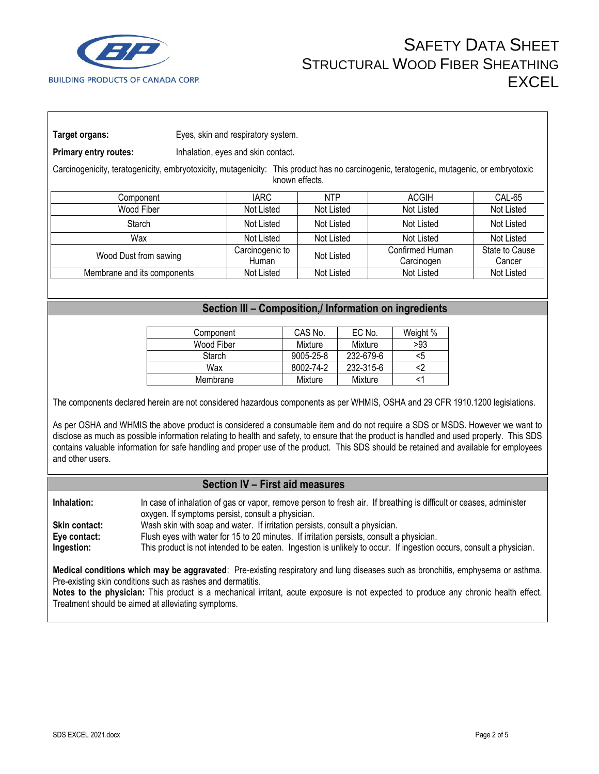

**Target organs:** Eyes, skin and respiratory system.

**Primary entry routes:** Inhalation, eyes and skin contact.

Carcinogenicity, teratogenicity, embryotoxicity, mutagenicity: This product has no carcinogenic, teratogenic, mutagenic, or embryotoxic known effects.

| Component                   | IARC .                   | <b>NTP</b> | ACGIH                         | CAL-65                   |
|-----------------------------|--------------------------|------------|-------------------------------|--------------------------|
| Wood Fiber                  | Not Listed               | Not Listed | Not Listed                    | Not Listed               |
| Starch                      | Not Listed               | Not Listed | Not Listed                    | Not Listed               |
| Wax                         | Not Listed               | Not Listed | Not Listed                    | Not Listed               |
| Wood Dust from sawing       | Carcinogenic to<br>Human | Not Listed | Confirmed Human<br>Carcinogen | State to Cause<br>Cancer |
| Membrane and its components | Not Listed               | Not Listed | Not Listed                    | Not Listed               |
|                             |                          |            |                               |                          |

### **Section III – Composition,/ Information on ingredients**

| Component  | CAS No.         | EC No.    | Weight % |
|------------|-----------------|-----------|----------|
| Wood Fiber | Mixture         | Mixture   | >93      |
| Starch     | $9005 - 25 - 8$ | 232-679-6 | <5       |
| Wax        | 8002-74-2       | 232-315-6 |          |
| Membrane   | Mixture         | Mixture   |          |

The components declared herein are not considered hazardous components as per WHMIS, OSHA and 29 CFR 1910.1200 legislations.

As per OSHA and WHMIS the above product is considered a consumable item and do not require a SDS or MSDS. However we want to disclose as much as possible information relating to health and safety, to ensure that the product is handled and used properly. This SDS contains valuable information for safe handling and proper use of the product. This SDS should be retained and available for employees and other users.

#### **Section IV – First aid measures**

| Inhalation:          | In case of inhalation of gas or vapor, remove person to fresh air. If breathing is difficult or ceases, administer  |
|----------------------|---------------------------------------------------------------------------------------------------------------------|
|                      | oxygen. If symptoms persist, consult a physician.                                                                   |
| <b>Skin contact:</b> | Wash skin with soap and water. If irritation persists, consult a physician.                                         |
| Eye contact:         | Flush eyes with water for 15 to 20 minutes. If irritation persists, consult a physician.                            |
| Ingestion:           | This product is not intended to be eaten. Ingestion is unlikely to occur. If ingestion occurs, consult a physician. |

**Medical conditions which may be aggravated**: Pre-existing respiratory and lung diseases such as bronchitis, emphysema or asthma. Pre-existing skin conditions such as rashes and dermatitis.

**Notes to the physician:** This product is a mechanical irritant, acute exposure is not expected to produce any chronic health effect. Treatment should be aimed at alleviating symptoms.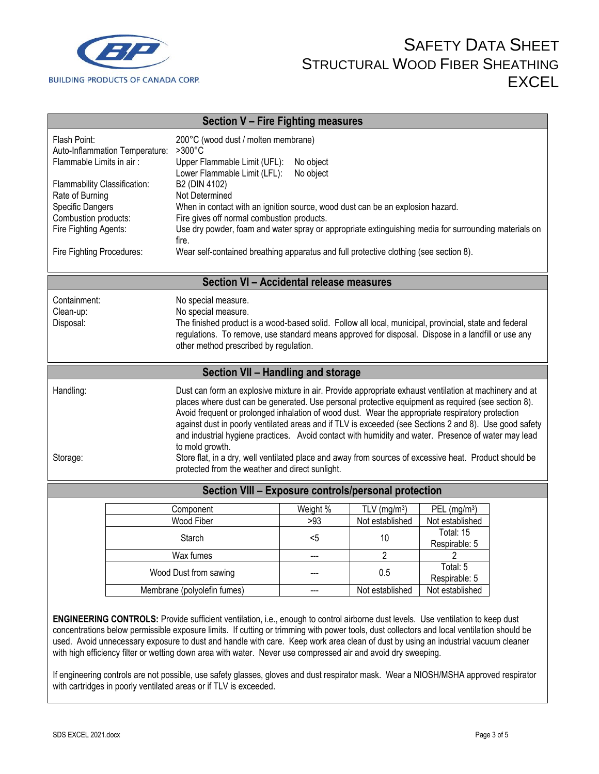

| Section V - Fire Fighting measures                                                                                                                                                                                                                                                                                                                                                                                                                                                                                                   |                                                                                                                                                                                                                                                                                                                                                                                                                                                                                                                                                                                                                                                                                                                   |                        |                                  |                                                          |  |
|--------------------------------------------------------------------------------------------------------------------------------------------------------------------------------------------------------------------------------------------------------------------------------------------------------------------------------------------------------------------------------------------------------------------------------------------------------------------------------------------------------------------------------------|-------------------------------------------------------------------------------------------------------------------------------------------------------------------------------------------------------------------------------------------------------------------------------------------------------------------------------------------------------------------------------------------------------------------------------------------------------------------------------------------------------------------------------------------------------------------------------------------------------------------------------------------------------------------------------------------------------------------|------------------------|----------------------------------|----------------------------------------------------------|--|
| Flash Point:<br>Auto-Inflammation Temperature:<br>Flammable Limits in air:<br>Flammability Classification:<br>Rate of Burning                                                                                                                                                                                                                                                                                                                                                                                                        | 200°C (wood dust / molten membrane)<br>$>300^{\circ}$ C<br>Upper Flammable Limit (UFL):<br>Lower Flammable Limit (LFL):<br>B2 (DIN 4102)<br>Not Determined                                                                                                                                                                                                                                                                                                                                                                                                                                                                                                                                                        | No object<br>No object |                                  |                                                          |  |
| Specific Dangers<br>Combustion products:                                                                                                                                                                                                                                                                                                                                                                                                                                                                                             | When in contact with an ignition source, wood dust can be an explosion hazard.<br>Fire gives off normal combustion products.                                                                                                                                                                                                                                                                                                                                                                                                                                                                                                                                                                                      |                        |                                  |                                                          |  |
| Fire Fighting Agents:                                                                                                                                                                                                                                                                                                                                                                                                                                                                                                                | Use dry powder, foam and water spray or appropriate extinguishing media for surrounding materials on<br>fire.                                                                                                                                                                                                                                                                                                                                                                                                                                                                                                                                                                                                     |                        |                                  |                                                          |  |
| Fire Fighting Procedures:                                                                                                                                                                                                                                                                                                                                                                                                                                                                                                            | Wear self-contained breathing apparatus and full protective clothing (see section 8).                                                                                                                                                                                                                                                                                                                                                                                                                                                                                                                                                                                                                             |                        |                                  |                                                          |  |
| Section VI - Accidental release measures                                                                                                                                                                                                                                                                                                                                                                                                                                                                                             |                                                                                                                                                                                                                                                                                                                                                                                                                                                                                                                                                                                                                                                                                                                   |                        |                                  |                                                          |  |
| Containment:<br>Clean-up:<br>Disposal:                                                                                                                                                                                                                                                                                                                                                                                                                                                                                               | No special measure.<br>No special measure.<br>The finished product is a wood-based solid. Follow all local, municipal, provincial, state and federal<br>regulations. To remove, use standard means approved for disposal. Dispose in a landfill or use any<br>other method prescribed by regulation.                                                                                                                                                                                                                                                                                                                                                                                                              |                        |                                  |                                                          |  |
|                                                                                                                                                                                                                                                                                                                                                                                                                                                                                                                                      | Section VII - Handling and storage                                                                                                                                                                                                                                                                                                                                                                                                                                                                                                                                                                                                                                                                                |                        |                                  |                                                          |  |
| Handling:<br>Storage:                                                                                                                                                                                                                                                                                                                                                                                                                                                                                                                | Dust can form an explosive mixture in air. Provide appropriate exhaust ventilation at machinery and at<br>places where dust can be generated. Use personal protective equipment as required (see section 8).<br>Avoid frequent or prolonged inhalation of wood dust. Wear the appropriate respiratory protection<br>against dust in poorly ventilated areas and if TLV is exceeded (see Sections 2 and 8). Use good safety<br>and industrial hygiene practices. Avoid contact with humidity and water. Presence of water may lead<br>to mold growth.<br>Store flat, in a dry, well ventilated place and away from sources of excessive heat. Product should be<br>protected from the weather and direct sunlight. |                        |                                  |                                                          |  |
|                                                                                                                                                                                                                                                                                                                                                                                                                                                                                                                                      | Section VIII - Exposure controls/personal protection                                                                                                                                                                                                                                                                                                                                                                                                                                                                                                                                                                                                                                                              |                        |                                  |                                                          |  |
|                                                                                                                                                                                                                                                                                                                                                                                                                                                                                                                                      | Component<br>Wood Fiber                                                                                                                                                                                                                                                                                                                                                                                                                                                                                                                                                                                                                                                                                           | Weight %<br>>93        | TLV $(mg/m3)$<br>Not established | PEL (mg/m <sup>3</sup> )<br>Not established<br>Total: 15 |  |
|                                                                                                                                                                                                                                                                                                                                                                                                                                                                                                                                      | Starch                                                                                                                                                                                                                                                                                                                                                                                                                                                                                                                                                                                                                                                                                                            | $5$                    | 10                               | Respirable: 5                                            |  |
|                                                                                                                                                                                                                                                                                                                                                                                                                                                                                                                                      | Wax fumes                                                                                                                                                                                                                                                                                                                                                                                                                                                                                                                                                                                                                                                                                                         |                        | $\overline{c}$                   | 2                                                        |  |
|                                                                                                                                                                                                                                                                                                                                                                                                                                                                                                                                      | Wood Dust from sawing                                                                                                                                                                                                                                                                                                                                                                                                                                                                                                                                                                                                                                                                                             |                        | 0.5                              | Total: 5<br>Respirable: 5                                |  |
|                                                                                                                                                                                                                                                                                                                                                                                                                                                                                                                                      | Membrane (polyolefin fumes)                                                                                                                                                                                                                                                                                                                                                                                                                                                                                                                                                                                                                                                                                       | ---                    | Not established                  | Not established                                          |  |
| ENGINEERING CONTROLS: Provide sufficient ventilation, i.e., enough to control airborne dust levels. Use ventilation to keep dust<br>concentrations below permissible exposure limits. If cutting or trimming with power tools, dust collectors and local ventilation should be<br>used. Avoid unnecessary exposure to dust and handle with care. Keep work area clean of dust by using an industrial vacuum cleaner<br>with high efficiency filter or wetting down area with water. Never use compressed air and avoid dry sweeping. |                                                                                                                                                                                                                                                                                                                                                                                                                                                                                                                                                                                                                                                                                                                   |                        |                                  |                                                          |  |

If engineering controls are not possible, use safety glasses, gloves and dust respirator mask. Wear a NIOSH/MSHA approved respirator with cartridges in poorly ventilated areas or if TLV is exceeded.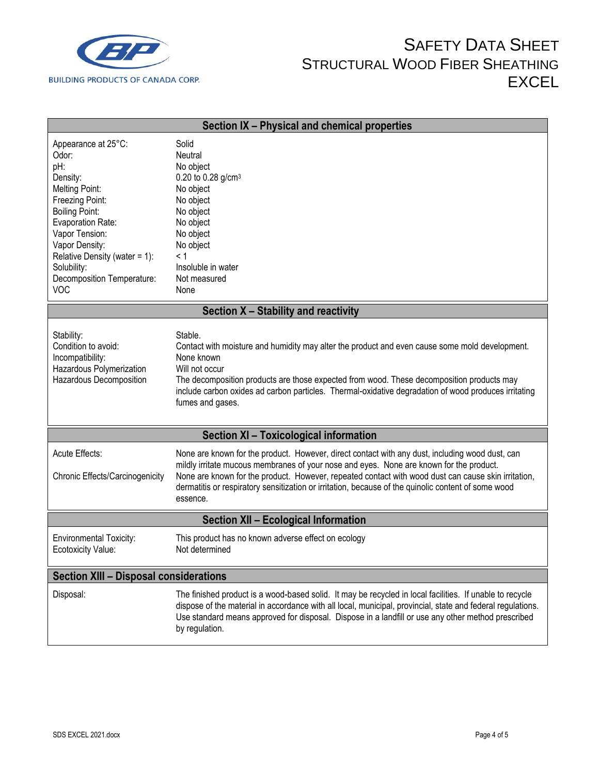

| Section IX - Physical and chemical properties                                                                                                                                                                                                                         |                                                                                                                                                                                                                                                                                                                                                                                                                      |  |  |
|-----------------------------------------------------------------------------------------------------------------------------------------------------------------------------------------------------------------------------------------------------------------------|----------------------------------------------------------------------------------------------------------------------------------------------------------------------------------------------------------------------------------------------------------------------------------------------------------------------------------------------------------------------------------------------------------------------|--|--|
| Appearance at 25°C:<br>Odor:<br>pH:<br>Density:<br>Melting Point:<br>Freezing Point:<br><b>Boiling Point:</b><br>Evaporation Rate:<br>Vapor Tension:<br>Vapor Density:<br>Relative Density (water = $1$ ):<br>Solubility:<br>Decomposition Temperature:<br><b>VOC</b> | Solid<br>Neutral<br>No object<br>0.20 to 0.28 $g/cm^{3}$<br>No object<br>No object<br>No object<br>No object<br>No object<br>No object<br>< 1<br>Insoluble in water<br>Not measured<br>None                                                                                                                                                                                                                          |  |  |
|                                                                                                                                                                                                                                                                       | Section X - Stability and reactivity                                                                                                                                                                                                                                                                                                                                                                                 |  |  |
| Stability:<br>Condition to avoid:<br>Incompatibility:<br>Hazardous Polymerization<br>Hazardous Decomposition                                                                                                                                                          | Stable.<br>Contact with moisture and humidity may alter the product and even cause some mold development.<br>None known<br>Will not occur<br>The decomposition products are those expected from wood. These decomposition products may<br>include carbon oxides ad carbon particles. Thermal-oxidative degradation of wood produces irritating<br>fumes and gases.                                                   |  |  |
|                                                                                                                                                                                                                                                                       | Section XI - Toxicological information                                                                                                                                                                                                                                                                                                                                                                               |  |  |
| Acute Effects:<br>Chronic Effects/Carcinogenicity                                                                                                                                                                                                                     | None are known for the product. However, direct contact with any dust, including wood dust, can<br>mildly irritate mucous membranes of your nose and eyes. None are known for the product.<br>None are known for the product. However, repeated contact with wood dust can cause skin irritation,<br>dermatitis or respiratory sensitization or irritation, because of the quinolic content of some wood<br>essence. |  |  |
| <b>Section XII - Ecological Information</b>                                                                                                                                                                                                                           |                                                                                                                                                                                                                                                                                                                                                                                                                      |  |  |
| <b>Environmental Toxicity:</b><br>Ecotoxicity Value:                                                                                                                                                                                                                  | This product has no known adverse effect on ecology<br>Not determined                                                                                                                                                                                                                                                                                                                                                |  |  |
| <b>Section XIII - Disposal considerations</b>                                                                                                                                                                                                                         |                                                                                                                                                                                                                                                                                                                                                                                                                      |  |  |
| Disposal:                                                                                                                                                                                                                                                             | The finished product is a wood-based solid. It may be recycled in local facilities. If unable to recycle<br>dispose of the material in accordance with all local, municipal, provincial, state and federal regulations.<br>Use standard means approved for disposal. Dispose in a landfill or use any other method prescribed<br>by regulation.                                                                      |  |  |